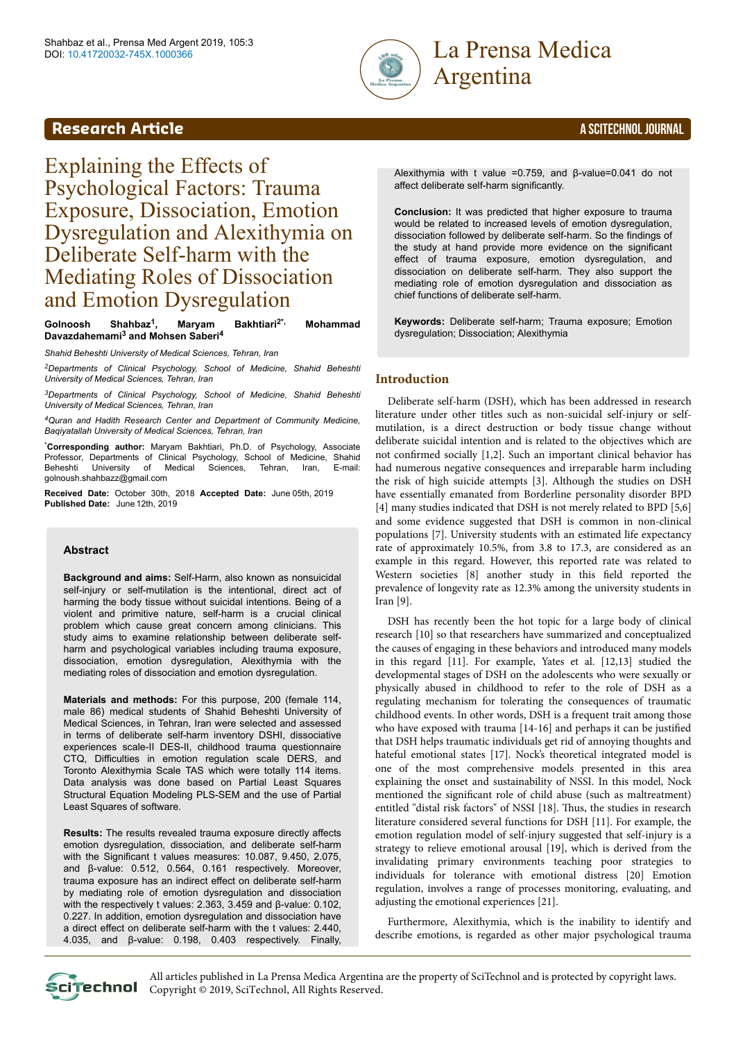

# Argentina

## **Research Article** A SCITECHNOL JOURNAL

Explaining the Effects of Psychological Factors: Trauma Exposure, Dissociation, Emotion Dysregulation and Alexithymia on Deliberate Self-harm with the Mediating Roles of Dissociation and Emotion Dysregulation

#### **Golnoosh Shahbaz<sup>1</sup> , Maryam Bakhtiari2\*, Mohammad Davazdahemami<sup>3</sup> and Mohsen Saberi<sup>4</sup>**

*Shahid Beheshti University of Medical Sciences, Tehran, Iran*

*<sup>2</sup>Departments of Clinical Psychology, School of Medicine, Shahid Beheshti University of Medical Sciences, Tehran, Iran*

*<sup>3</sup>Departments of Clinical Psychology, School of Medicine, Shahid Beheshti University of Medical Sciences, Tehran, Iran*

*<sup>4</sup>Quran and Hadith Research Center and Department of Community Medicine, Baqiyatallah University of Medical Sciences, Tehran, Iran*

\***Corresponding author:** Maryam Bakhtiari, Ph.D. of Psychology, Associate Professor, Departments of Clinical Psychology, School of Medicine, Shahid Beheshti University of Medical Sciences, Tehran, Iran, E-mail: golnoush.shahbazz@gmail.com

Received Date: October 30th, 2018 Accepted Date: June 05th, 2019 Published Date: June 12th, 2019

#### **Abstract**

**Background and aims:** Self-Harm, also known as nonsuicidal self-injury or self-mutilation is the intentional, direct act of harming the body tissue without suicidal intentions. Being of a violent and primitive nature, self-harm is a crucial clinical problem which cause great concern among clinicians. This study aims to examine relationship between deliberate selfharm and psychological variables including trauma exposure, dissociation, emotion dysregulation, Alexithymia with the mediating roles of dissociation and emotion dysregulation.

**Materials and methods:** For this purpose, 200 (female 114, male 86) medical students of Shahid Beheshti University of Medical Sciences, in Tehran, Iran were selected and assessed in terms of deliberate self-harm inventory DSHI, dissociative experiences scale-II DES-II, childhood trauma questionnaire CTQ, Difficulties in emotion regulation scale DERS, and Toronto Alexithymia Scale TAS which were totally 114 items. Data analysis was done based on Partial Least Squares Structural Equation Modeling PLS-SEM and the use of Partial Least Squares of software.

**Results:** The results revealed trauma exposure directly affects emotion dysregulation, dissociation, and deliberate self-harm with the Significant t values measures: 10.087, 9.450, 2.075, and β-value: 0.512, 0.564, 0.161 respectively. Moreover, trauma exposure has an indirect effect on deliberate self-harm by mediating role of emotion dysregulation and dissociation with the respectively t values: 2.363, 3.459 and β-value: 0.102, 0.227. In addition, emotion dysregulation and dissociation have a direct effect on deliberate self-harm with the t values: 2.440, 4.035, and β-value: 0.198, 0.403 respectively. Finally,

Alexithymia with t value =0.759, and β-value=0.041 do not affect deliberate self-harm significantly.

**Conclusion:** It was predicted that higher exposure to trauma would be related to increased levels of emotion dysregulation, dissociation followed by deliberate self-harm. So the findings of the study at hand provide more evidence on the significant effect of trauma exposure, emotion dysregulation, and dissociation on deliberate self-harm. They also support the mediating role of emotion dysregulation and dissociation as chief functions of deliberate self-harm.

**Keywords:** Deliberate self-harm; Trauma exposure; Emotion dysregulation; Dissociation; Alexithymia

#### **Introduction**

Deliberate self-harm (DSH), which has been addressed in research literature under other titles such as non-suicidal self-injury or selfmutilation, is a direct destruction or body tissue change without deliberate suicidal intention and is related to the objectives which are not confirmed socially [1,2]. Such an important clinical behavior has had numerous negative consequences and irreparable harm including the risk of high suicide attempts [3]. Although the studies on DSH have essentially emanated from Borderline personality disorder BPD [4] many studies indicated that DSH is not merely related to BPD [5,6] and some evidence suggested that DSH is common in non-clinical populations [7]. University students with an estimated life expectancy rate of approximately 10.5%, from 3.8 to 17.3, are considered as an example in this regard. However, this reported rate was related to Western societies [8] another study in this field reported the prevalence of longevity rate as 12.3% among the university students in Iran [9].

DSH has recently been the hot topic for a large body of clinical research [10] so that researchers have summarized and conceptualized the causes of engaging in these behaviors and introduced many models in this regard [11]. For example, Yates et al. [12,13] studied the developmental stages of DSH on the adolescents who were sexually or physically abused in childhood to refer to the role of DSH as a regulating mechanism for tolerating the consequences of traumatic childhood events. In other words, DSH is a frequent trait among those who have exposed with trauma [14-16] and perhaps it can be justified that DSH helps traumatic individuals get rid of annoying thoughts and hateful emotional states [17]. Nock's theoretical integrated model is one of the most comprehensive models presented in this area explaining the onset and sustainability of NSSI. In this model, Nock mentioned the significant role of child abuse (such as maltreatment) entitled "distal risk factors" of NSSI [18]. Нus, the studies in research literature considered several functions for DSH [11]. For example, the emotion regulation model of self-injury suggested that self-injury is a strategy to relieve emotional arousal [19], which is derived from the invalidating primary environments teaching poor strategies to individuals for tolerance with emotional distress [20] Emotion regulation, involves a range of processes monitoring, evaluating, and adjusting the emotional experiences [21].

Furthermore, Alexithymia, which is the inability to identify and describe emotions, is regarded as other major psychological trauma



All articles published in La Prensa Medica Argentina are the property of SciTechnol and is protected by copyright laws. SciTechnol Copyright © 2019, SciTechnol, All Rights Reserved.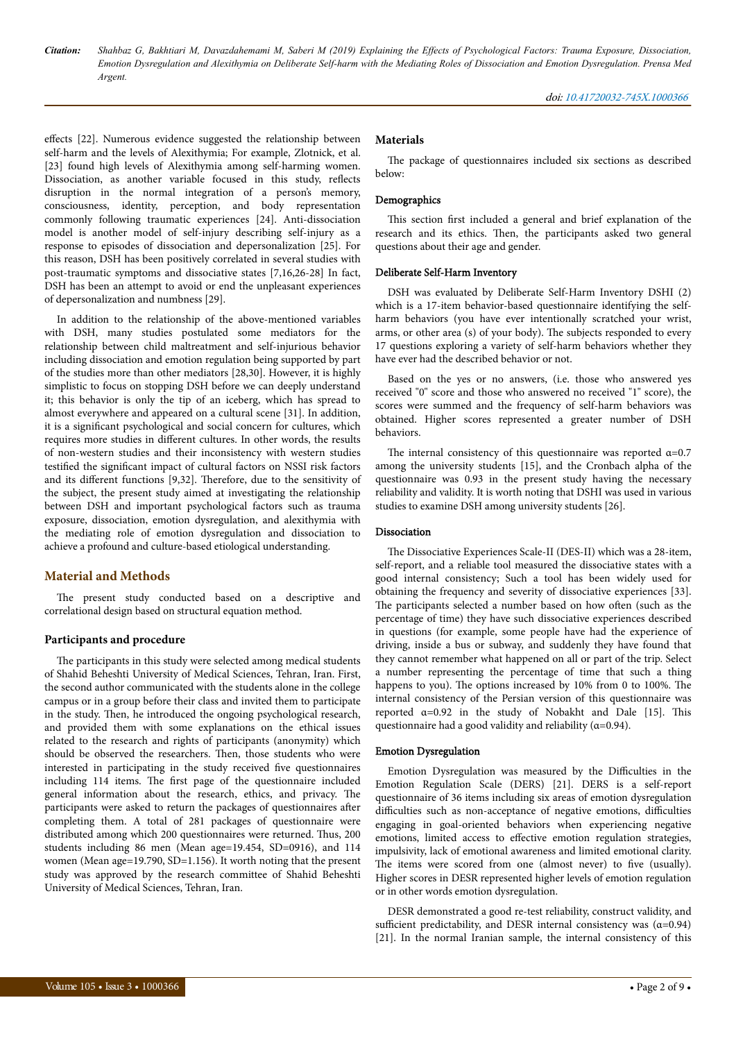effects [22]. Numerous evidence suggested the relationship between self-harm and the levels of Alexithymia; For example, Zlotnick, et al. [23] found high levels of Alexithymia among self-harming women. Dissociation, as another variable focused in this study, reflects disruption in the normal integration of a person's memory, consciousness, identity, perception, and body representation commonly following traumatic experiences [24]. Anti-dissociation model is another model of self-injury describing self-injury as a response to episodes of dissociation and depersonalization [25]. For this reason, DSH has been positively correlated in several studies with post-traumatic symptoms and dissociative states [7,16,26-28] In fact, DSH has been an attempt to avoid or end the unpleasant experiences of depersonalization and numbness [29].

In addition to the relationship of the above-mentioned variables with DSH, many studies postulated some mediators for the relationship between child maltreatment and self-injurious behavior including dissociation and emotion regulation being supported by part of the studies more than other mediators [28,30]. However, it is highly simplistic to focus on stopping DSH before we can deeply understand it; this behavior is only the tip of an iceberg, which has spread to almost everywhere and appeared on a cultural scene [31]. In addition, it is a significant psychological and social concern for cultures, which requires more studies in different cultures. In other words, the results of non-western studies and their inconsistency with western studies testified the significant impact of cultural factors on NSSI risk factors and its different functions [9,32]. Therefore, due to the sensitivity of the subject, the present study aimed at investigating the relationship between DSH and important psychological factors such as trauma exposure, dissociation, emotion dysregulation, and alexithymia with the mediating role of emotion dysregulation and dissociation to achieve a profound and culture-based etiological understanding.

#### **Material and Methods**

The present study conducted based on a descriptive and correlational design based on structural equation method.

#### **Participants and procedure**

The participants in this study were selected among medical students of Shahid Beheshti University of Medical Sciences, Tehran, Iran. First, the second author communicated with the students alone in the college campus or in a group before their class and invited them to participate in the study. Нen, he introduced the ongoing psychological research, and provided them with some explanations on the ethical issues related to the research and rights of participants (anonymity) which should be observed the researchers. Нen, those students who were interested in participating in the study received five questionnaires including 114 items. Нe first page of the questionnaire included general information about the research, ethics, and privacy. Нe participants were asked to return the packages of questionnaires after completing them. A total of 281 packages of questionnaire were distributed among which 200 questionnaires were returned. Нus, 200 students including 86 men (Mean age=19.454, SD=0916), and 114 women (Mean age=19.790, SD=1.156). It worth noting that the present study was approved by the research committee of Shahid Beheshti University of Medical Sciences, Tehran, Iran.

#### **Materials**

The package of questionnaires included six sections as described below:

#### Demographics

This section first included a general and brief explanation of the research and its ethics. Then, the participants asked two general questions about their age and gender.

#### Deliberate Self-Harm Inventory

DSH was evaluated by Deliberate Self-Harm Inventory DSHI (2) which is a 17-item behavior-based questionnaire identifying the selfharm behaviors (you have ever intentionally scratched your wrist, arms, or other area (s) of your body). Нe subjects responded to every 17 questions exploring a variety of self-harm behaviors whether they have ever had the described behavior or not.

Based on the yes or no answers, (i.e. those who answered yes received "0" score and those who answered no received "1" score), the scores were summed and the frequency of self-harm behaviors was obtained. Higher scores represented a greater number of DSH behaviors.

The internal consistency of this questionnaire was reported  $\alpha$ =0.7 among the university students [15], and the Cronbach alpha of the questionnaire was 0.93 in the present study having the necessary reliability and validity. It is worth noting that DSHI was used in various studies to examine DSH among university students [26].

#### Dissociation

The Dissociative Experiences Scale-II (DES-II) which was a 28-item, self-report, and a reliable tool measured the dissociative states with a good internal consistency; Such a tool has been widely used for obtaining the frequency and severity of dissociative experiences [33]. The participants selected a number based on how often (such as the percentage of time) they have such dissociative experiences described in questions (for example, some people have had the experience of driving, inside a bus or subway, and suddenly they have found that they cannot remember what happened on all or part of the trip. Select a number representing the percentage of time that such a thing happens to you). The options increased by 10% from 0 to 100%. The internal consistency of the Persian version of this questionnaire was reported α=0.92 in the study of Nobakht and Dale [15]. Нis questionnaire had a good validity and reliability ( $\alpha$ =0.94).

#### Emotion Dysregulation

Emotion Dysregulation was measured by the Difficulties in the Emotion Regulation Scale (DERS) [21]. DERS is a self-report questionnaire of 36 items including six areas of emotion dysregulation difficulties such as non-acceptance of negative emotions, difficulties engaging in goal-oriented behaviors when experiencing negative emotions, limited access to effective emotion regulation strategies, impulsivity, lack of emotional awareness and limited emotional clarity. The items were scored from one (almost never) to five (usually). Higher scores in DESR represented higher levels of emotion regulation or in other words emotion dysregulation.

DESR demonstrated a good re-test reliability, construct validity, and sufficient predictability, and DESR internal consistency was  $(\alpha=0.94)$ [21]. In the normal Iranian sample, the internal consistency of this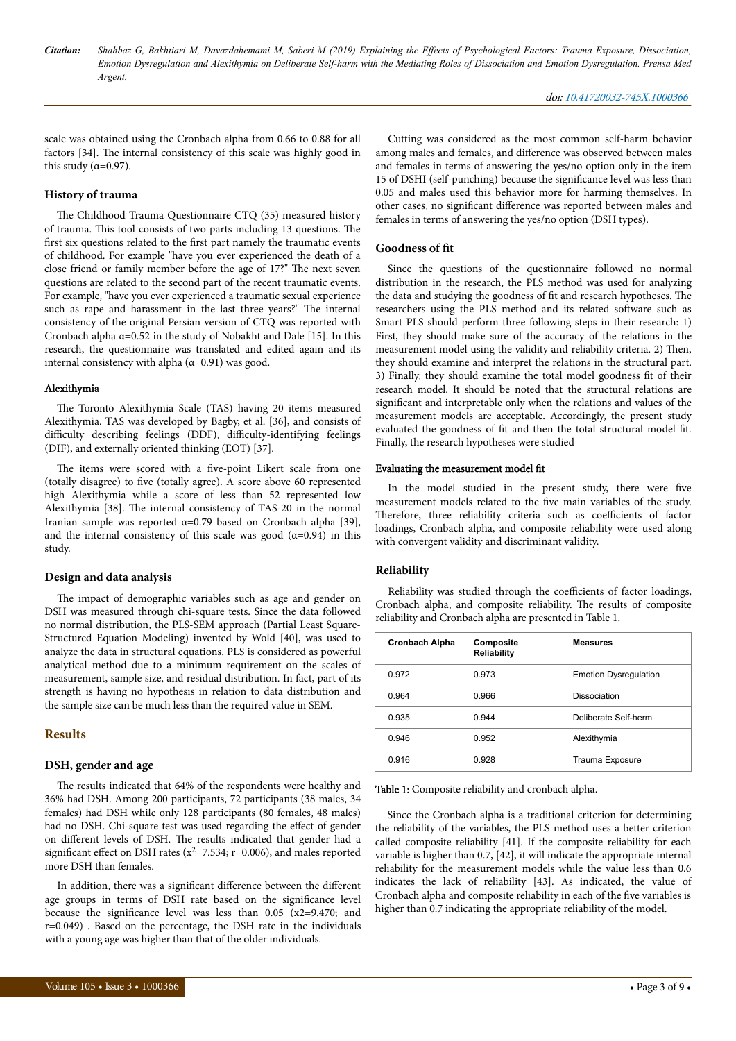scale was obtained using the Cronbach alpha from 0.66 to 0.88 for all factors [34]. Нe internal consistency of this scale was highly good in this study ( $\alpha$ =0.97).

#### **History of trauma**

The Childhood Trauma Questionnaire CTO (35) measured history of trauma. Нis tool consists of two parts including 13 questions. Нe first six questions related to the first part namely the traumatic events of childhood. For example "have you ever experienced the death of a close friend or family member before the age of 17?" Нe next seven questions are related to the second part of the recent traumatic events. For example, "have you ever experienced a traumatic sexual experience such as rape and harassment in the last three years?" The internal consistency of the original Persian version of CTQ was reported with Cronbach alpha  $\alpha$ =0.52 in the study of Nobakht and Dale [15]. In this research, the questionnaire was translated and edited again and its internal consistency with alpha  $(\alpha=0.91)$  was good.

#### Alexithymia

The Toronto Alexithymia Scale (TAS) having 20 items measured Alexithymia. TAS was developed by Bagby, et al. [36], and consists of difficulty describing feelings (DDF), difficulty-identifying feelings (DIF), and externally oriented thinking (EOT) [37].

The items were scored with a five-point Likert scale from one (totally disagree) to five (totally agree). A score above 60 represented high Alexithymia while a score of less than 52 represented low Alexithymia [38]. Нe internal consistency of TAS-20 in the normal Iranian sample was reported α=0.79 based on Cronbach alpha [39], and the internal consistency of this scale was good  $(a=0.94)$  in this study.

#### **Design and data analysis**

The impact of demographic variables such as age and gender on DSH was measured through chi-square tests. Since the data followed no normal distribution, the PLS-SEM approach (Partial Least Square-Structured Equation Modeling) invented by Wold [40], was used to analyze the data in structural equations. PLS is considered as powerful analytical method due to a minimum requirement on the scales of measurement, sample size, and residual distribution. In fact, part of its strength is having no hypothesis in relation to data distribution and the sample size can be much less than the required value in SEM.

#### **Results**

#### **DSH, gender and age**

The results indicated that 64% of the respondents were healthy and 36% had DSH. Among 200 participants, 72 participants (38 males, 34 females) had DSH while only 128 participants (80 females, 48 males) had no DSH. Chi-square test was used regarding the effect of gender on different levels of DSH. The results indicated that gender had a significant effect on DSH rates ( $x^2$ =7.534; r=0.006), and males reported more DSH than females.

In addition, there was a significant difference between the different age groups in terms of DSH rate based on the significance level because the significance level was less than  $0.05$  (x2=9.470; and r=0.049) . Based on the percentage, the DSH rate in the individuals with a young age was higher than that of the older individuals.

Cutting was considered as the most common self-harm behavior among males and females, and difference was observed between males and females in terms of answering the yes/no option only in the item 15 of DSHI (self-punching) because the significance level was less than 0.05 and males used this behavior more for harming themselves. In other cases, no significant difference was reported between males and females in terms of answering the yes/no option (DSH types).

#### **Goodness of fit**

Since the questions of the questionnaire followed no normal distribution in the research, the PLS method was used for analyzing the data and studying the goodness of fit and research hypotheses. Нe researchers using the PLS method and its related software such as Smart PLS should perform three following steps in their research: 1) First, they should make sure of the accuracy of the relations in the measurement model using the validity and reliability criteria. 2) Нen, they should examine and interpret the relations in the structural part. 3) Finally, they should examine the total model goodness fit of their research model. It should be noted that the structural relations are significant and interpretable only when the relations and values of the measurement models are acceptable. Accordingly, the present study evaluated the goodness of fit and then the total structural model fit. Finally, the research hypotheses were studied

#### Evaluating the measurement model fit

In the model studied in the present study, there were five measurement models related to the five main variables of the study. Therefore, three reliability criteria such as coefficients of factor loadings, Cronbach alpha, and composite reliability were used along with convergent validity and discriminant validity.

#### **Reliability**

Reliability was studied through the coefficients of factor loadings, Cronbach alpha, and composite reliability. Нe results of composite reliability and Cronbach alpha are presented in Table 1.

| <b>Cronbach Alpha</b> | Composite<br><b>Reliability</b> | <b>Measures</b>              |
|-----------------------|---------------------------------|------------------------------|
| 0.972                 | 0.973                           | <b>Emotion Dysregulation</b> |
| 0.964                 | 0.966                           | Dissociation                 |
| 0.935                 | 0.944                           | Deliberate Self-herm         |
| 0.946                 | 0.952                           | Alexithymia                  |
| 0.916                 | 0.928                           | Trauma Exposure              |

Table 1: Composite reliability and cronbach alpha.

Since the Cronbach alpha is a traditional criterion for determining the reliability of the variables, the PLS method uses a better criterion called composite reliability [41]. If the composite reliability for each variable is higher than 0.7, [42], it will indicate the appropriate internal reliability for the measurement models while the value less than 0.6 indicates the lack of reliability [43]. As indicated, the value of Cronbach alpha and composite reliability in each of the five variables is higher than 0.7 indicating the appropriate reliability of the model.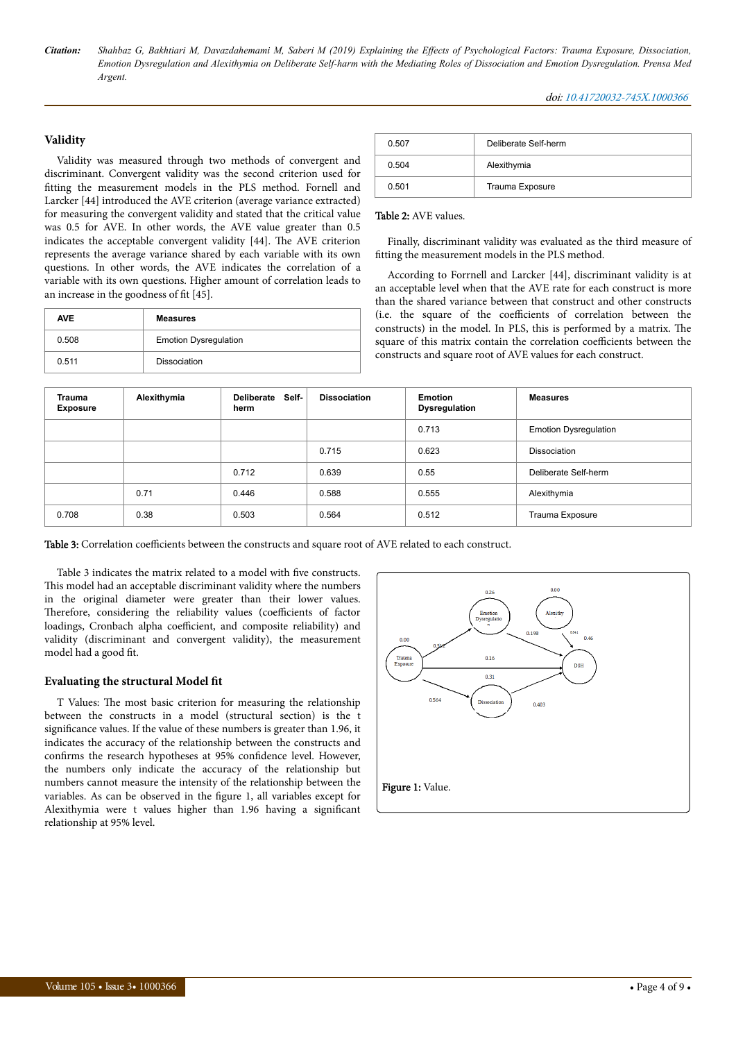#### **Validity**

Validity was measured through two methods of convergent and discriminant. Convergent validity was the second criterion used for fitting the measurement models in the PLS method. Fornell and Larcker [44] introduced the AVE criterion (average variance extracted) for measuring the convergent validity and stated that the critical value was 0.5 for AVE. In other words, the AVE value greater than 0.5 indicates the acceptable convergent validity [44]. Нe AVE criterion represents the average variance shared by each variable with its own questions. In other words, the AVE indicates the correlation of a variable with its own questions. Higher amount of correlation leads to an increase in the goodness of fit [45].

| <b>AVE</b> | <b>Measures</b>              |  |
|------------|------------------------------|--|
| 0.508      | <b>Emotion Dysregulation</b> |  |
| 0.511      | Dissociation                 |  |

| 0.507 | Deliberate Self-herm |  |
|-------|----------------------|--|
| 0.504 | Alexithymia          |  |
| 0.501 | Trauma Exposure      |  |

#### Table 2: AVE values.

Finally, discriminant validity was evaluated as the third measure of fitting the measurement models in the PLS method.

According to Forrnell and Larcker [44], discriminant validity is at an acceptable level when that the AVE rate for each construct is more than the shared variance between that construct and other constructs (i.e. the square of the coefficients of correlation between the constructs) in the model. In PLS, this is performed by a matrix. Нe square of this matrix contain the correlation coefficients between the constructs and square root of AVE values for each construct.

| <b>Trauma</b><br><b>Exposure</b> | Alexithymia | Self-<br>Deliberate<br>herm | <b>Dissociation</b> | <b>Emotion</b><br>Dysregulation | <b>Measures</b>              |
|----------------------------------|-------------|-----------------------------|---------------------|---------------------------------|------------------------------|
|                                  |             |                             |                     | 0.713                           | <b>Emotion Dysregulation</b> |
|                                  |             |                             | 0.715               | 0.623                           | Dissociation                 |
|                                  |             | 0.712                       | 0.639               | 0.55                            | Deliberate Self-herm         |
|                                  | 0.71        | 0.446                       | 0.588               | 0.555                           | Alexithymia                  |
| 0.708                            | 0.38        | 0.503                       | 0.564               | 0.512                           | Trauma Exposure              |

Table 3: Correlation coefficients between the constructs and square root of AVE related to each construct.

Table 3 indicates the matrix related to a model with five constructs. This model had an acceptable discriminant validity where the numbers in the original diameter were greater than their lower values. Therefore, considering the reliability values (coefficients of factor loadings, Cronbach alpha coefficient, and composite reliability) and validity (discriminant and convergent validity), the measurement model had a good fit.

#### **Evaluating the structural Model fit**

T Values: Нe most basic criterion for measuring the relationship between the constructs in a model (structural section) is the t significance values. If the value of these numbers is greater than 1.96, it indicates the accuracy of the relationship between the constructs and confirms the research hypotheses at 95% confidence level. However, the numbers only indicate the accuracy of the relationship but numbers cannot measure the intensity of the relationship between the variables. As can be observed in the figure 1, all variables except for Alexithymia were t values higher than 1.96 having a significant relationship at 95% level.

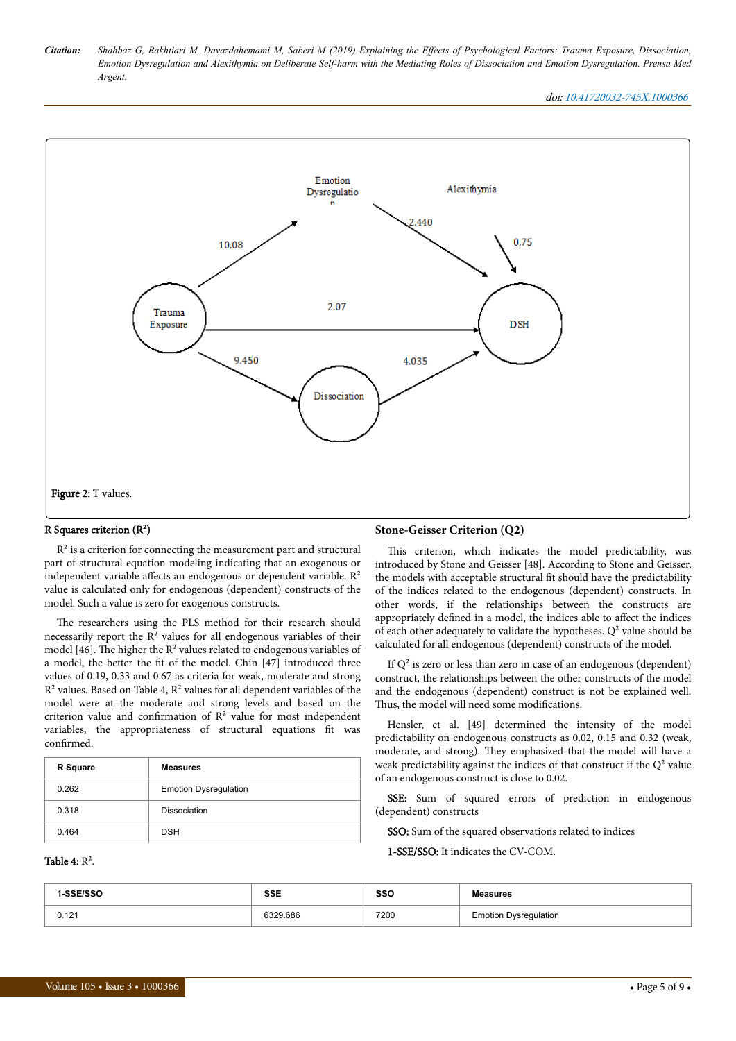doi: 10.41720032-745X.1000366



#### R Squares criterion (R²)

 $R<sup>2</sup>$  is a criterion for connecting the measurement part and structural part of structural equation modeling indicating that an exogenous or independent variable affects an endogenous or dependent variable.  $R<sup>2</sup>$ value is calculated only for endogenous (dependent) constructs of the model. Such a value is zero for exogenous constructs.

The researchers using the PLS method for their research should necessarily report the  $R^2$  values for all endogenous variables of their model [46]. The higher the  $R^2$  values related to endogenous variables of a model, the better the fit of the model. Chin [47] introduced three values of 0.19, 0.33 and 0.67 as criteria for weak, moderate and strong  $R<sup>2</sup>$  values. Based on Table 4,  $R<sup>2</sup>$  values for all dependent variables of the model were at the moderate and strong levels and based on the criterion value and confirmation of  $R<sup>2</sup>$  value for most independent variables, the appropriateness of structural equations fit was confirmed.

| R Square | <b>Measures</b>              |
|----------|------------------------------|
| 0.262    | <b>Emotion Dysregulation</b> |
| 0.318    | Dissociation                 |
| 0.464    | <b>DSH</b>                   |

#### Table 4:  $R^2$ .

#### **Stone-Geisser Criterion (Q2)**

This criterion, which indicates the model predictability, was introduced by Stone and Geisser [48]. According to Stone and Geisser, the models with acceptable structural fit should have the predictability of the indices related to the endogenous (dependent) constructs. In other words, if the relationships between the constructs are appropriately defined in a model, the indices able to affect the indices of each other adequately to validate the hypotheses.  $Q<sup>2</sup>$  value should be calculated for all endogenous (dependent) constructs of the model.

If  $Q<sup>2</sup>$  is zero or less than zero in case of an endogenous (dependent) construct, the relationships between the other constructs of the model and the endogenous (dependent) construct is not be explained well. Thus, the model will need some modifications.

Hensler, et al. [49] determined the intensity of the model predictability on endogenous constructs as 0.02, 0.15 and 0.32 (weak, moderate, and strong). They emphasized that the model will have a weak predictability against the indices of that construct if the  $Q^2$  value of an endogenous construct is close to 0.02.

SSE: Sum of squared errors of prediction in endogenous (dependent) constructs

SSO: Sum of the squared observations related to indices

1-SSE/SSO: It indicates the CV-COM.

| -SSE/SSO | <b>SSE</b><br>- - - | SSO  | <b>Measures</b>              |
|----------|---------------------|------|------------------------------|
| 0.121    | 6329.686            | 7200 | <b>Emotion Dysregulation</b> |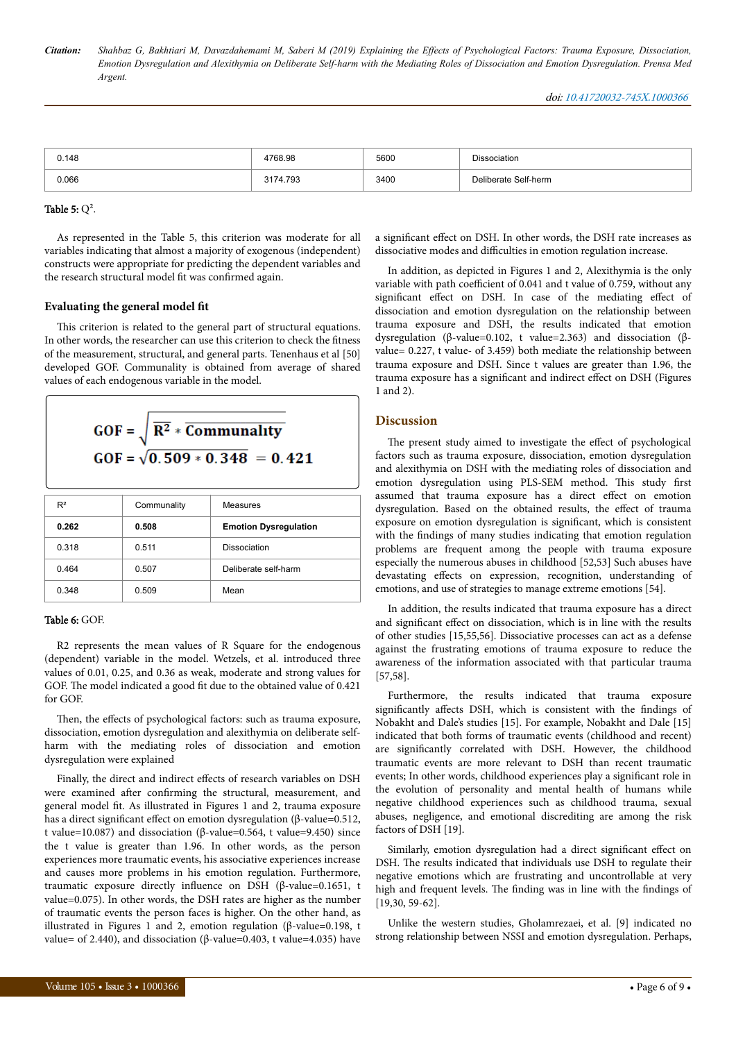| 0.148 | 4768.98  | 5600 | Dissociation         |
|-------|----------|------|----------------------|
| 0.066 | 3174.793 | 3400 | Deliberate Self-herm |

#### Table 5:  $Q^2$ .

As represented in the Table 5, this criterion was moderate for all variables indicating that almost a majority of exogenous (independent) constructs were appropriate for predicting the dependent variables and the research structural model fit was confirmed again.

#### **Evaluating the general model fit**

This criterion is related to the general part of structural equations. In other words, the researcher can use this criterion to check the fitness of the measurement, structural, and general parts. Tenenhaus et al [50] developed GOF. Communality is obtained from average of shared values of each endogenous variable in the model.

$$
GOF = \sqrt{\overline{R^2} * \overline{Communality}}
$$
  
GOF =  $\sqrt{0.509 * 0.348} = 0.421$ 

| $R^2$ | Communality | Measures                     |
|-------|-------------|------------------------------|
| 0.262 | 0.508       | <b>Emotion Dysregulation</b> |
| 0.318 | 0.511       | Dissociation                 |
| 0.464 | 0.507       | Deliberate self-harm         |
| 0.348 | 0.509       | Mean                         |

#### Table 6: GOF.

R2 represents the mean values of R Square for the endogenous (dependent) variable in the model. Wetzels, et al. introduced three values of 0.01, 0.25, and 0.36 as weak, moderate and strong values for GOF. Нe model indicated a good fit due to the obtained value of 0.421 for GOF.

Then, the effects of psychological factors: such as trauma exposure, dissociation, emotion dysregulation and alexithymia on deliberate selfharm with the mediating roles of dissociation and emotion dysregulation were explained

Finally, the direct and indirect effects of research variables on DSH were examined after confirming the structural, measurement, and general model fit. As illustrated in Figures 1 and 2, trauma exposure has a direct significant effect on emotion dysregulation (β-value=0.512, t value=10.087) and dissociation (β-value=0.564, t value=9.450) since the t value is greater than 1.96. In other words, as the person experiences more traumatic events, his associative experiences increase and causes more problems in his emotion regulation. Furthermore, traumatic exposure directly influence on DSH (β-value=0.1651, t value=0.075). In other words, the DSH rates are higher as the number of traumatic events the person faces is higher. On the other hand, as illustrated in Figures 1 and 2, emotion regulation (β-value=0.198, t value= of 2.440), and dissociation (β-value=0.403, t value=4.035) have

a significant effect on DSH. In other words, the DSH rate increases as dissociative modes and difficulties in emotion regulation increase.

In addition, as depicted in Figures 1 and 2, Alexithymia is the only variable with path coefficient of 0.041 and t value of 0.759, without any significant effect on DSH. In case of the mediating effect of dissociation and emotion dysregulation on the relationship between trauma exposure and DSH, the results indicated that emotion dysregulation (β-value=0.102, t value=2.363) and dissociation (βvalue= 0.227, t value- of 3.459) both mediate the relationship between trauma exposure and DSH. Since t values are greater than 1.96, the trauma exposure has a significant and indirect effect on DSH (Figures 1 and 2).

#### **Discussion**

The present study aimed to investigate the effect of psychological factors such as trauma exposure, dissociation, emotion dysregulation and alexithymia on DSH with the mediating roles of dissociation and emotion dysregulation using PLS-SEM method. Нis study first assumed that trauma exposure has a direct effect on emotion dysregulation. Based on the obtained results, the effect of trauma exposure on emotion dysregulation is significant, which is consistent with the findings of many studies indicating that emotion regulation problems are frequent among the people with trauma exposure especially the numerous abuses in childhood [52,53] Such abuses have devastating effects on expression, recognition, understanding of emotions, and use of strategies to manage extreme emotions [54].

In addition, the results indicated that trauma exposure has a direct and significant effect on dissociation, which is in line with the results of other studies [15,55,56]. Dissociative processes can act as a defense against the frustrating emotions of trauma exposure to reduce the awareness of the information associated with that particular trauma [57,58].

Furthermore, the results indicated that trauma exposure significantly affects DSH, which is consistent with the findings of Nobakht and Dale's studies [15]. For example, Nobakht and Dale [15] indicated that both forms of traumatic events (childhood and recent) are significantly correlated with DSH. However, the childhood traumatic events are more relevant to DSH than recent traumatic events; In other words, childhood experiences play a significant role in the evolution of personality and mental health of humans while negative childhood experiences such as childhood trauma, sexual abuses, negligence, and emotional discrediting are among the risk factors of DSH [19].

Similarly, emotion dysregulation had a direct significant effect on DSH. Нe results indicated that individuals use DSH to regulate their negative emotions which are frustrating and uncontrollable at very high and frequent levels. Нe finding was in line with the findings of [19,30, 59-62].

Unlike the western studies, Gholamrezaei, et al. [9] indicated no strong relationship between NSSI and emotion dysregulation. Perhaps,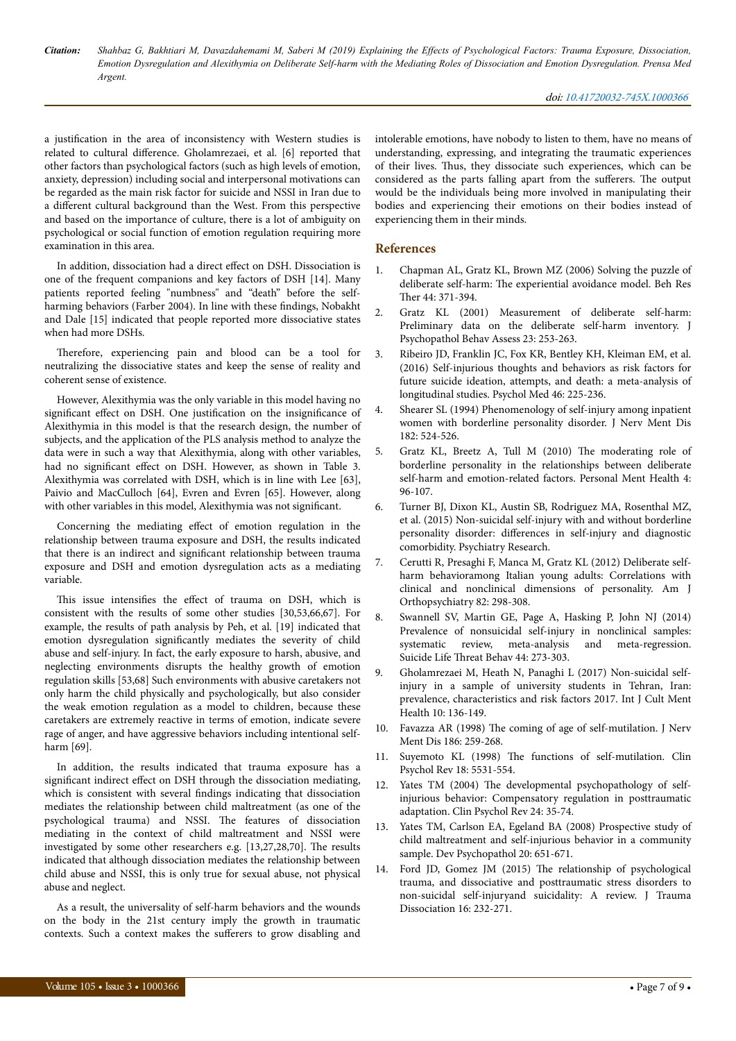a justification in the area of inconsistency with Western studies is related to cultural difference. Gholamrezaei, et al. [6] reported that other factors than psychological factors (such as high levels of emotion, anxiety, depression) including social and interpersonal motivations can be regarded as the main risk factor for suicide and NSSI in Iran due to a different cultural background than the West. From this perspective and based on the importance of culture, there is a lot of ambiguity on psychological or social function of emotion regulation requiring more examination in this area.

In addition, dissociation had a direct effect on DSH. Dissociation is one of the frequent companions and key factors of DSH [14]. Many patients reported feeling "numbness" and "death" before the selfharming behaviors (Farber 2004). In line with these findings, Nobakht and Dale [15] indicated that people reported more dissociative states when had more DSHs.

Therefore, experiencing pain and blood can be a tool for neutralizing the dissociative states and keep the sense of reality and coherent sense of existence.

However, Alexithymia was the only variable in this model having no significant effect on DSH. One justification on the insignificance of Alexithymia in this model is that the research design, the number of subjects, and the application of the PLS analysis method to analyze the data were in such a way that Alexithymia, along with other variables, had no significant effect on DSH. However, as shown in Table 3. Alexithymia was correlated with DSH, which is in line with Lee [63], Paivio and MacCulloch [64], Evren and Evren [65]. However, along with other variables in this model, Alexithymia was not significant.

Concerning the mediating effect of emotion regulation in the relationship between trauma exposure and DSH, the results indicated that there is an indirect and significant relationship between trauma exposure and DSH and emotion dysregulation acts as a mediating variable.

This issue intensifies the effect of trauma on DSH, which is consistent with the results of some other studies [30,53,66,67]. For example, the results of path analysis by Peh, et al. [19] indicated that emotion dysregulation significantly mediates the severity of child abuse and self-injury. In fact, the early exposure to harsh, abusive, and neglecting environments disrupts the healthy growth of emotion regulation skills [53,68] Such environments with abusive caretakers not only harm the child physically and psychologically, but also consider the weak emotion regulation as a model to children, because these caretakers are extremely reactive in terms of emotion, indicate severe rage of anger, and have aggressive behaviors including intentional selfharm [69].

In addition, the results indicated that trauma exposure has a significant indirect effect on DSH through the dissociation mediating, which is consistent with several findings indicating that dissociation mediates the relationship between child maltreatment (as one of the psychological trauma) and NSSI. Нe features of dissociation mediating in the context of child maltreatment and NSSI were investigated by some other researchers e.g. [13,27,28,70]. Нe results indicated that although dissociation mediates the relationship between child abuse and NSSI, this is only true for sexual abuse, not physical abuse and neglect.

As a result, the universality of self-harm behaviors and the wounds on the body in the 21st century imply the growth in traumatic contexts. Such a context makes the sufferers to grow disabling and

intolerable emotions, have nobody to listen to them, have no means of understanding, expressing, and integrating the traumatic experiences of their lives. Нus, they dissociate such experiences, which can be considered as the parts falling apart from the sufferers. The output would be the individuals being more involved in manipulating their bodies and experiencing their emotions on their bodies instead of experiencing them in their minds.

## **References**

- 1. [Chapman AL, Gratz KL, Brown MZ \(2006\) Solving the puzzle of](https://www.sciencedirect.com/science/article/pii/S0005796705000525) deliberate self-harm: Нe [experiential avoidance model. Beh Res](https://www.sciencedirect.com/science/article/pii/S0005796705000525) Ther [44: 371-394.](https://www.sciencedirect.com/science/article/pii/S0005796705000525)
- 2. [Gratz KL \(2001\) Measurement of deliberate self-harm:](https://link.springer.com/article/10.1023/A:1012779403943) [Preliminary data on the deliberate self-harm inventory. J](https://link.springer.com/article/10.1023/A:1012779403943) [Psychopathol Behav Assess 23: 253-263.](https://link.springer.com/article/10.1023/A:1012779403943)
- 3. [Ribeiro JD, Franklin JC, Fox KR, Bentley KH, Kleiman EM, et al.](https://www.cambridge.org/core/journals/psychological-medicine/article/selfinjurious-thoughts-and-behaviors-as-risk-factors-for-future-suicide-ideation-attempts-and-death-a-metaanalysis-of-longitudinal-studies/B035CF0E2B6FC95ECB523171CF704D21) [\(2016\) Self-injurious thoughts and behaviors as risk factors for](https://www.cambridge.org/core/journals/psychological-medicine/article/selfinjurious-thoughts-and-behaviors-as-risk-factors-for-future-suicide-ideation-attempts-and-death-a-metaanalysis-of-longitudinal-studies/B035CF0E2B6FC95ECB523171CF704D21) [future suicide ideation, attempts, and death: a meta-analysis of](https://www.cambridge.org/core/journals/psychological-medicine/article/selfinjurious-thoughts-and-behaviors-as-risk-factors-for-future-suicide-ideation-attempts-and-death-a-metaanalysis-of-longitudinal-studies/B035CF0E2B6FC95ECB523171CF704D21) [longitudinal studies. Psychol Med 46: 225-236.](https://www.cambridge.org/core/journals/psychological-medicine/article/selfinjurious-thoughts-and-behaviors-as-risk-factors-for-future-suicide-ideation-attempts-and-death-a-metaanalysis-of-longitudinal-studies/B035CF0E2B6FC95ECB523171CF704D21)
- 4. [Shearer SL \(1994\) Phenomenology of self-injury among inpatient](http://psycnet.apa.org/record/1995-09773-001) [women with borderline personality disorder. J Nerv Ment Dis](http://psycnet.apa.org/record/1995-09773-001) [182: 524-526.](http://psycnet.apa.org/record/1995-09773-001)
- 5. [Gratz KL, Breetz A, Tull M \(2010\)](https://onlinelibrary.wiley.com/doi/abs/10.1002/pmh.102) Нe moderating role of [borderline personality in the relationships between deliberate](https://onlinelibrary.wiley.com/doi/abs/10.1002/pmh.102) [self-harm and emotion-related factors. Personal Ment Health 4:](https://onlinelibrary.wiley.com/doi/abs/10.1002/pmh.102) [96-107.](https://onlinelibrary.wiley.com/doi/abs/10.1002/pmh.102)
- 6. [Turner BJ, Dixon KL, Austin SB, Rodriguez MA, Rosenthal MZ,](https://www.sciencedirect.com/science/article/pii/S0165178115005156) [et al. \(2015\) Non-suicidal self-injury with and without borderline](https://www.sciencedirect.com/science/article/pii/S0165178115005156) personality disorder: differences [in self-injury and diagnostic](https://www.sciencedirect.com/science/article/pii/S0165178115005156) [comorbidity. Psychiatry Research.](https://www.sciencedirect.com/science/article/pii/S0165178115005156)
- 7. [Cerutti R, Presaghi F, Manca M, Gratz KL \(2012\) Deliberate self](http://psycnet.apa.org/record/2012-22094-002)[harm behavioramong Italian young adults: Correlations with](http://psycnet.apa.org/record/2012-22094-002) [clinical and nonclinical dimensions of personality. Am J](http://psycnet.apa.org/record/2012-22094-002) [Orthopsychiatry 82: 298-308.](http://psycnet.apa.org/record/2012-22094-002)
- 8. [Swannell SV, Martin GE, Page A, Hasking P, John NJ \(2014\)](https://onlinelibrary.wiley.com/doi/abs/10.1111/sltb.12070) [Prevalence of nonsuicidal self-injury in nonclinical samples:](https://onlinelibrary.wiley.com/doi/abs/10.1111/sltb.12070) [systematic review, meta-analysis and meta-regression.](https://onlinelibrary.wiley.com/doi/abs/10.1111/sltb.12070) Suicide Life Threat [Behav 44: 273-303.](https://onlinelibrary.wiley.com/doi/abs/10.1111/sltb.12070)
- 9. [Gholamrezaei M, Heath N, Panaghi L \(2017\) Non-suicidal self](https://www.tandfonline.com/doi/abs/10.1080/17542863.2016.1265999)[injury in a sample of university students in Tehran, Iran:](https://www.tandfonline.com/doi/abs/10.1080/17542863.2016.1265999) [prevalence, characteristics and risk factors 2017. Int J Cult Ment](https://www.tandfonline.com/doi/abs/10.1080/17542863.2016.1265999) [Health 10: 136-149.](https://www.tandfonline.com/doi/abs/10.1080/17542863.2016.1265999)
- 10. Favazza AR (1998) Нe [coming of age of self-mutilation. J Nerv](https://journals.lww.com/jonmd/Abstract/1998/05000/The__Coming_of_Age_of_Self_Mutilation.1.aspx) [Ment Dis 186: 259-268.](https://journals.lww.com/jonmd/Abstract/1998/05000/The__Coming_of_Age_of_Self_Mutilation.1.aspx)
- 11. Suyemoto KL (1998) Нe functions of self-mutilation. Clin Psychol Rev 18: 5531-554.
- 12. Yates TM (2004) Нe [developmental psychopathology of self](https://www.sciencedirect.com/science/article/pii/S0272735803001302)[injurious behavior: Compensatory regulation in posttraumatic](https://www.sciencedirect.com/science/article/pii/S0272735803001302) [adaptation. Clin Psychol Rev 24: 35-74.](https://www.sciencedirect.com/science/article/pii/S0272735803001302)
- 13. [Yates TM, Carlson EA, Egeland BA \(2008\) Prospective study of](https://www.cambridge.org/core/journals/development-and-psychopathology/article/prospective-study-of-child-maltreatment-and-selfinjurious-behavior-in-a-community-sample/DF52732EBF12B077E5D526EDBF75C19E) [child maltreatment and self-injurious behavior in a community](https://www.cambridge.org/core/journals/development-and-psychopathology/article/prospective-study-of-child-maltreatment-and-selfinjurious-behavior-in-a-community-sample/DF52732EBF12B077E5D526EDBF75C19E) [sample. Dev Psychopathol 20: 651-671.](https://www.cambridge.org/core/journals/development-and-psychopathology/article/prospective-study-of-child-maltreatment-and-selfinjurious-behavior-in-a-community-sample/DF52732EBF12B077E5D526EDBF75C19E)
- 14. Ford JD, Gomez JM (2015) Нe [relationship of psychological](https://www.tandfonline.com/doi/abs/10.1080/15299732.2015.989563) [trauma, and dissociative and posttraumatic stress disorders to](https://www.tandfonline.com/doi/abs/10.1080/15299732.2015.989563) [non-suicidal self-injuryand suicidality: A review. J Trauma](https://www.tandfonline.com/doi/abs/10.1080/15299732.2015.989563) [Dissociation 16: 232-271.](https://www.tandfonline.com/doi/abs/10.1080/15299732.2015.989563)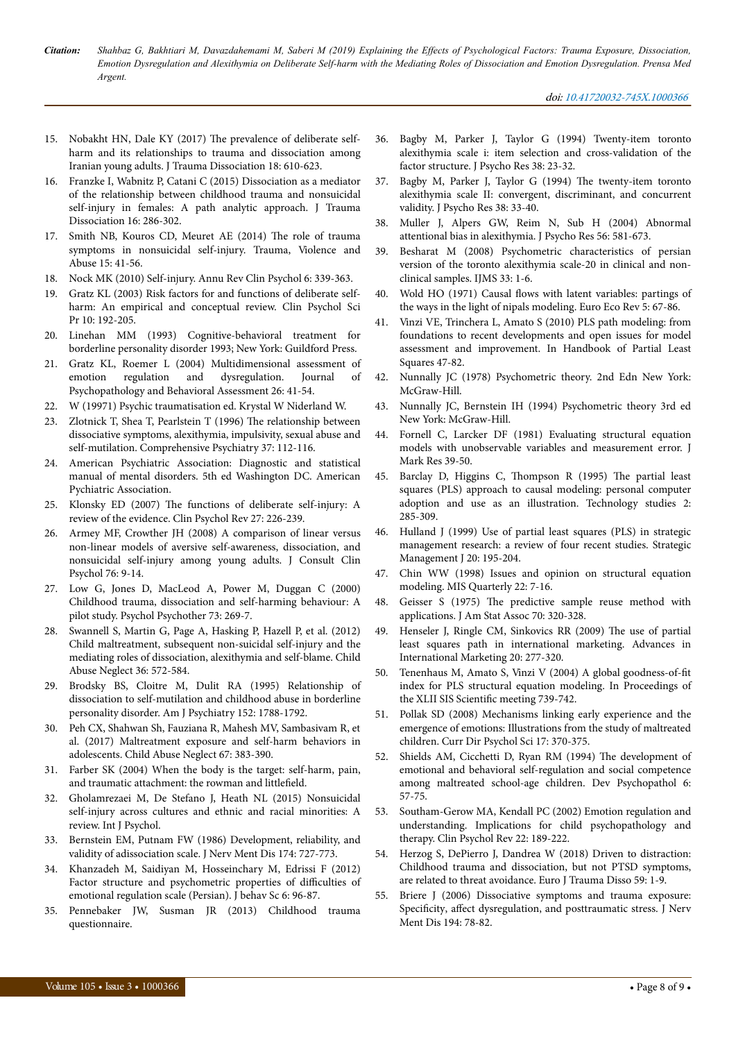- 15. [Nobakht HN, Dale KY \(2017\)](https://www.tandfonline.com/doi/abs/10.1080/15299732.2016.1246397) Нe prevalence of deliberate self[harm and its relationships to trauma and dissociation among](https://www.tandfonline.com/doi/abs/10.1080/15299732.2016.1246397) [Iranian young adults. J Trauma Dissociation 18: 610-623.](https://www.tandfonline.com/doi/abs/10.1080/15299732.2016.1246397)
- 16. [Franzke I, Wabnitz P, Catani C \(2015\) Dissociation as a mediator](https://www.tandfonline.com/doi/abs/10.1080/15299732.2015.989646) [of the relationship between childhood trauma and nonsuicidal](https://www.tandfonline.com/doi/abs/10.1080/15299732.2015.989646) [self-injury in females: A path analytic approach. J Trauma](https://www.tandfonline.com/doi/abs/10.1080/15299732.2015.989646) [Dissociation 16: 286-302.](https://www.tandfonline.com/doi/abs/10.1080/15299732.2015.989646)
- 17. [Smith NB, Kouros CD, Meuret AE \(2014\)](http://journals.sagepub.com/doi/abs/10.1177/1524838013496332) Нe role of trauma [symptoms in nonsuicidal self-injury. Trauma, Violence and](http://journals.sagepub.com/doi/abs/10.1177/1524838013496332) [Abuse 15: 41-56.](http://journals.sagepub.com/doi/abs/10.1177/1524838013496332)
- 18. [Nock MK \(2010\) Self-injury. Annu Rev Clin Psychol 6: 339-363.](https://www.annualreviews.org/doi/abs/10.1146/annurev.clinpsy.121208.131258.)
- 19. [Gratz KL \(2003\) Risk factors for and functions of deliberate self](https://onlinelibrary.wiley.com/doi/abs/10.1093/clipsy.bpg022)[harm: An empirical and conceptual review. Clin Psychol Sci](https://onlinelibrary.wiley.com/doi/abs/10.1093/clipsy.bpg022) [Pr 10: 192-205.](https://onlinelibrary.wiley.com/doi/abs/10.1093/clipsy.bpg022)
- 20. [Linehan MM \(1993\) Cognitive-behavioral treatment for](http://psycnet.apa.org/record/1995-98090-000) [borderline personality disorder 1993; New York: Guildford Press.](http://psycnet.apa.org/record/1995-98090-000)
- 21. [Gratz KL, Roemer L \(2004\) Multidimensional assessment of](https://link.springer.com/article/10.1023/b:joba.0000007455.08539.94) [emotion regulation and dysregulation. Journal of](https://link.springer.com/article/10.1023/b:joba.0000007455.08539.94) [Psychopathology and Behavioral Assessment 26: 41-54.](https://link.springer.com/article/10.1023/b:joba.0000007455.08539.94)
- 22. W (19971) Psychic traumatisation ed. Krystal W Niderland W.
- 23. Zlotnick T, Shea T, Pearlstein T (1996) Нe relationship between dissociative symptoms, alexithymia, impulsivity, sexual abuse and self-mutilation. Comprehensive Psychiatry 37: 112-116.
- 24. American Psychiatric Association: Diagnostic and statistical manual of mental disorders. 5th ed Washington DC. American Pychiatric Association.
- 25. Klonsky ED (2007) Нe [functions of deliberate self-injury: A](https://www.sciencedirect.com/science/article/pii/S0272735806000961) [review of the evidence. Clin Psychol Rev 27: 226-239.](https://www.sciencedirect.com/science/article/pii/S0272735806000961)
- 26. [Armey MF, Crowther JH \(2008\) A comparison of linear versus](http://psycnet.apa.org/record/2008-00950-002) [non-linear models of aversive self-awareness, dissociation, and](http://psycnet.apa.org/record/2008-00950-002) [nonsuicidal self-injury among young adults. J Consult Clin](http://psycnet.apa.org/record/2008-00950-002) [Psychol 76: 9-14.](http://psycnet.apa.org/record/2008-00950-002)
- 27. [Low G, Jones D, MacLeod A, Power M, Duggan C \(2000\)](https://onlinelibrary.wiley.com/doi/abs/10.1348/000711200160363) [Childhood trauma, dissociation and self-harming behaviour: A](https://onlinelibrary.wiley.com/doi/abs/10.1348/000711200160363) [pilot study. Psychol Psychother 73: 269-7.](https://onlinelibrary.wiley.com/doi/abs/10.1348/000711200160363)
- 28. [Swannell S, Martin G, Page A, Hasking P, Hazell P, et al. \(2012\)](https://www.sciencedirect.com/science/article/pii/S0145213412001202) [Child maltreatment, subsequent non-suicidal self-injury and the](https://www.sciencedirect.com/science/article/pii/S0145213412001202) [mediating roles of dissociation, alexithymia and self-blame. Child](https://www.sciencedirect.com/science/article/pii/S0145213412001202) [Abuse Neglect 36: 572-584.](https://www.sciencedirect.com/science/article/pii/S0145213412001202)
- 29. [Brodsky BS, Cloitre M, Dulit RA \(1995\) Relationship of](https://search.proquest.com/info/openurldocerror;jsessionid=6507F7AF55CB049F4A48DBE9DA7BAEF4.i-09d11f32429b6dfbd) [dissociation to self-mutilation and childhood abuse in borderline](https://search.proquest.com/info/openurldocerror;jsessionid=6507F7AF55CB049F4A48DBE9DA7BAEF4.i-09d11f32429b6dfbd) [personality disorder. Am J Psychiatry 152: 1788-1792.](https://search.proquest.com/info/openurldocerror;jsessionid=6507F7AF55CB049F4A48DBE9DA7BAEF4.i-09d11f32429b6dfbd)
- 30. Peh CX, Shahwan Sh, Fauziana R, Mahesh MV, Sambasivam R, et al. (2017) Maltreatment exposure and self-harm behaviors in adolescents. Child Abuse Neglect 67: 383-390.
- 31. Farber SK (2004) When the body is the target: self-harm, pain, and traumatic attachment: the rowman and littlefield.
- 32. [Gholamrezaei M, De Stefano J, Heath NL \(2015\) Nonsuicidal](https://onlinelibrary.wiley.com/doi/abs/10.1002/ijop.12230) [self-injury across cultures and ethnic and racial minorities: A](https://onlinelibrary.wiley.com/doi/abs/10.1002/ijop.12230) [review. Int J Psychol.](https://onlinelibrary.wiley.com/doi/abs/10.1002/ijop.12230)
- 33. [Bernstein EM, Putnam FW \(1986\) Development, reliability, and](http://psycnet.apa.org/record/1987-14407-001) [validity of adissociation scale. J Nerv Ment Dis 174: 727-773.](http://psycnet.apa.org/record/1987-14407-001)
- 34. [Khanzadeh M, Saidiyan M, Hosseinchary M, Edrissi F \(2012\)](https://journals.bmsu.ac.ir/jbs/index.php/jbs/article/view/312) [Factor structure and psychometric properties of](https://journals.bmsu.ac.ir/jbs/index.php/jbs/article/view/312) difficulties of [emotional regulation scale \(Persian\). J behav Sc 6: 96-87.](https://journals.bmsu.ac.ir/jbs/index.php/jbs/article/view/312)
- 35. Pennebaker JW, Susman JR (2013) Childhood trauma questionnaire.
- 36. [Bagby M, Parker J, Taylor G \(1994\) Twenty-item toronto](https://www.sciencedirect.com/science/article/pii/0022399994900051) [alexithymia scale i: item selection and cross-validation of the](https://www.sciencedirect.com/science/article/pii/0022399994900051) [factor structure. J Psycho Res 38: 23-32.](https://www.sciencedirect.com/science/article/pii/0022399994900051)
- 37. [Bagby M, Parker J, Taylor G \(1994\)](https://www.sciencedirect.com/science/article/pii/002239999490006X) Нe twenty-item toronto [alexithymia scale II: convergent, discriminant, and concurrent](https://www.sciencedirect.com/science/article/pii/002239999490006X) [validity. J Psycho Res 38: 33-40.](https://www.sciencedirect.com/science/article/pii/002239999490006X)
- 38. [Muller J, Alpers GW, Reim N, Sub H \(2004\) Abnormal](https://www.jpsychores.com/article/S0022-3999(04)00263-6/abstract) [attentional bias in alexithymia. J Psycho Res 56: 581-673.](https://www.jpsychores.com/article/S0022-3999(04)00263-6/abstract)
- 39. [Besharat M \(2008\) Psychometric characteristics of persian](http://ijms.sums.ac.ir/index.php/IJMS/article/view/1685) [version of the toronto alexithymia scale-20 in clinical and non](http://ijms.sums.ac.ir/index.php/IJMS/article/view/1685)[clinical samples. IJMS 33: 1-6.](http://ijms.sums.ac.ir/index.php/IJMS/article/view/1685)
- 40. Wold HO (1971) Causal flows [with latent variables: partings of](https://www.sciencedirect.com/science/article/pii/0014292174900087) [the ways in the light of nipals modeling. Euro Eco Rev 5: 67-86.](https://www.sciencedirect.com/science/article/pii/0014292174900087)
- 41. [Vinzi VE, Trinchera L, Amato S \(2010\) PLS path modeling: from](https://link.springer.com/chapter/10.1007/978-3-540-32827-8_3) [foundations to recent developments and open issues for model](https://link.springer.com/chapter/10.1007/978-3-540-32827-8_3) [assessment and improvement. In Handbook of Partial Least](https://link.springer.com/chapter/10.1007/978-3-540-32827-8_3) [Squares 47-82.](https://link.springer.com/chapter/10.1007/978-3-540-32827-8_3)
- 42. Nunnally JC (1978) Psychometric theory. 2nd Edn New York: McGraw-Hill.
- 43. Nunnally JC, Bernstein IH (1994) Psychometric theory 3rd ed New York: McGraw-Hill.
- 44. [Fornell C, Larcker DF \(1981\) Evaluating structural equation](https://www.jstor.org/stable/3151312) [models with unobservable variables and measurement error. J](https://www.jstor.org/stable/3151312) [Mark Res 39-50.](https://www.jstor.org/stable/3151312)
- 45. Barclay D, Higgins C, Нompson R (1995) Нe partial least squares (PLS) approach to causal modeling: personal computer adoption and use as an illustration. Technology studies 2: 285-309.
- 46. [Hulland J \(1999\) Use of partial least squares \(PLS\) in strategic](https://onlinelibrary.wiley.com/doi/abs/10.1002/(SICI)1097-0266(199902)20:2%3C195::AID-SMJ13%3E3.0.CO;2-7) [management research: a review of four recent studies. Strategic](https://onlinelibrary.wiley.com/doi/abs/10.1002/(SICI)1097-0266(199902)20:2%3C195::AID-SMJ13%3E3.0.CO;2-7) [Management J 20: 195-204.](https://onlinelibrary.wiley.com/doi/abs/10.1002/(SICI)1097-0266(199902)20:2%3C195::AID-SMJ13%3E3.0.CO;2-7)
- 47. [Chin WW \(1998\) Issues and opinion on structural equation](https://www.jstor.org/stable/249674?seq=1) [modeling. MIS Quarterly 22: 7-16.](https://www.jstor.org/stable/249674?seq=1)
- 48. Geisser S (1975) Нe [predictive sample reuse method with](https://amstat.tandfonline.com/doi/abs/10.1080/01621459.1975.10479865) [applications. J Am Stat Assoc 70: 320-328.](https://amstat.tandfonline.com/doi/abs/10.1080/01621459.1975.10479865)
- 49. [Henseler J, Ringle CM, Sinkovics RR \(2009\)](https://www.emeraldinsight.com/doi/abs/10.1108/s1474-7979(2009)0000020014) Нe use of partial [least squares path in international marketing. Advances in](https://www.emeraldinsight.com/doi/abs/10.1108/s1474-7979(2009)0000020014) [International Marketing 20: 277-320.](https://www.emeraldinsight.com/doi/abs/10.1108/s1474-7979(2009)0000020014)
- 50. [Tenenhaus M, Amato S, Vinzi V \(2004\) A global](http://old.sis-statistica.org/files/pdf/atti/RSBa2004p739-742.pdf) goodness-of-fit [index for PLS structural equation modeling. In Proceedings of](http://old.sis-statistica.org/files/pdf/atti/RSBa2004p739-742.pdf) the XLII SIS Scientific [meeting 739-742.](http://old.sis-statistica.org/files/pdf/atti/RSBa2004p739-742.pdf)
- 51. [Pollak SD \(2008\) Mechanisms linking early experience and the](http://journals.sagepub.com/doi/abs/10.1111/j.1467-8721.2008.00608.x) [emergence of emotions: Illustrations from the study of maltreated](http://journals.sagepub.com/doi/abs/10.1111/j.1467-8721.2008.00608.x) [children. Curr Dir Psychol Sci 17: 370-375.](http://journals.sagepub.com/doi/abs/10.1111/j.1467-8721.2008.00608.x)
- 52. [Shields AM, Cicchetti D, Ryan RM \(1994\)](https://www.cambridge.org/core/journals/development-and-psychopathology/article/development-of-emotional-and-behavioral-selfregulation-and-social-competence-among-maltreated-schoolage-children/15F7F5551DD16132822480C90483B012) Нe development of [emotional and behavioral self-regulation and social competence](https://www.cambridge.org/core/journals/development-and-psychopathology/article/development-of-emotional-and-behavioral-selfregulation-and-social-competence-among-maltreated-schoolage-children/15F7F5551DD16132822480C90483B012) [among maltreated school-age children. Dev Psychopathol 6:](https://www.cambridge.org/core/journals/development-and-psychopathology/article/development-of-emotional-and-behavioral-selfregulation-and-social-competence-among-maltreated-schoolage-children/15F7F5551DD16132822480C90483B012) [57-75.](https://www.cambridge.org/core/journals/development-and-psychopathology/article/development-of-emotional-and-behavioral-selfregulation-and-social-competence-among-maltreated-schoolage-children/15F7F5551DD16132822480C90483B012)
- 53. [Southam-Gerow MA, Kendall PC \(2002\) Emotion regulation and](https://www.sciencedirect.com/science/article/pii/S0272735801000873) [understanding. Implications for child psychopathology and](https://www.sciencedirect.com/science/article/pii/S0272735801000873) [therapy. Clin Psychol Rev 22: 189-222.](https://www.sciencedirect.com/science/article/pii/S0272735801000873)
- 54. [Herzog S, DePierro J, Dandrea W \(2018\) Driven to distraction:](https://www.sciencedirect.com/science/article/pii/S2468749917300972) [Childhood trauma and dissociation, but not PTSD symptoms,](https://www.sciencedirect.com/science/article/pii/S2468749917300972) [are related to threat avoidance. Euro J Trauma Disso 59: 1-9.](https://www.sciencedirect.com/science/article/pii/S2468749917300972)
- 55. [Briere J \(2006\) Dissociative symptoms and trauma exposure:](https://journals.lww.com/jonmd/Abstract/2006/02000/Dissociative_Symptoms_and_Trauma_Exposure_.2.aspx) Specificity, affect [dysregulation, and posttraumatic stress. J Nerv](https://journals.lww.com/jonmd/Abstract/2006/02000/Dissociative_Symptoms_and_Trauma_Exposure_.2.aspx) [Ment Dis 194: 78-82.](https://journals.lww.com/jonmd/Abstract/2006/02000/Dissociative_Symptoms_and_Trauma_Exposure_.2.aspx)